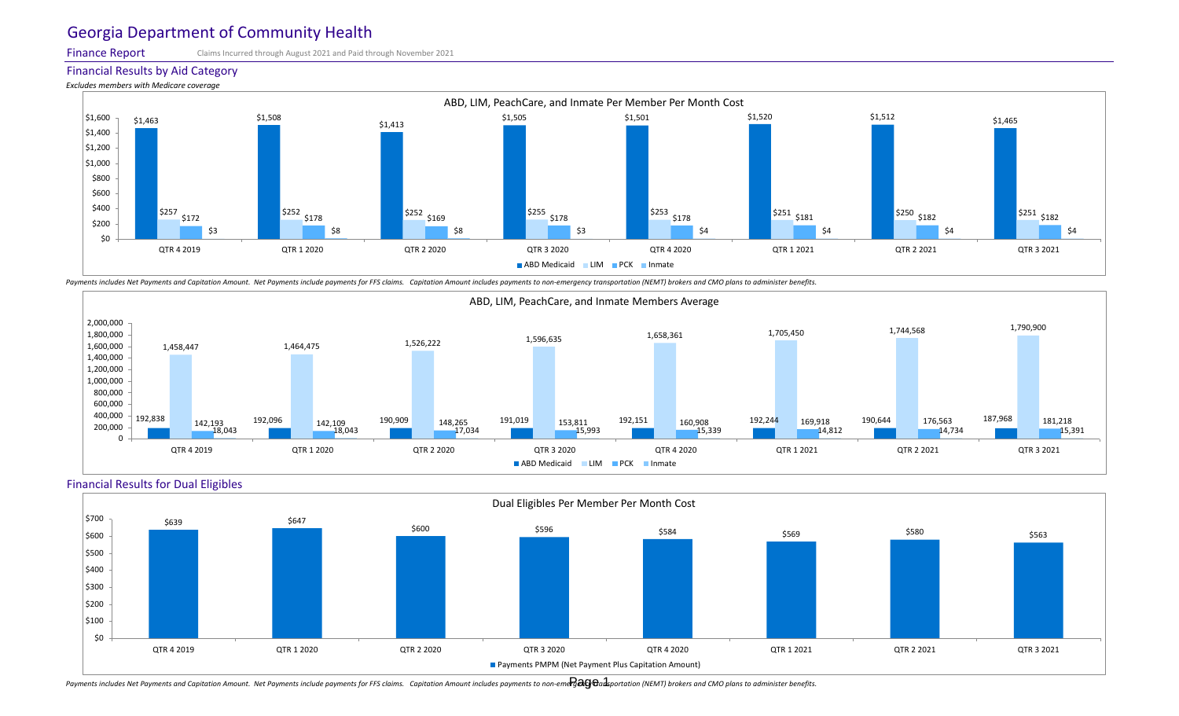Finance Report

Financial Results by Aid Category

*Excludes members with Medicare coverage*



Claims Incurred through August 2021 and Paid through November 2021



Payments includes Net Payments and Capitation Amount. Net Payments include payments for FFS claims. Capitation Amount includes payments to non-emergency transportation (NEMT) brokers and CMO plans to administer benefits.



#### ABD, LIM, PeachCare, and Inmate Members Average



Payments includes Net Payments and Capitation Amount. Net Payments include payments for FFS claims. Capitation Amount includes payments to non-eme $\partial$ a $0$   $\theta$ ansportation (NEMT) brokers and CMO plans to administer benefi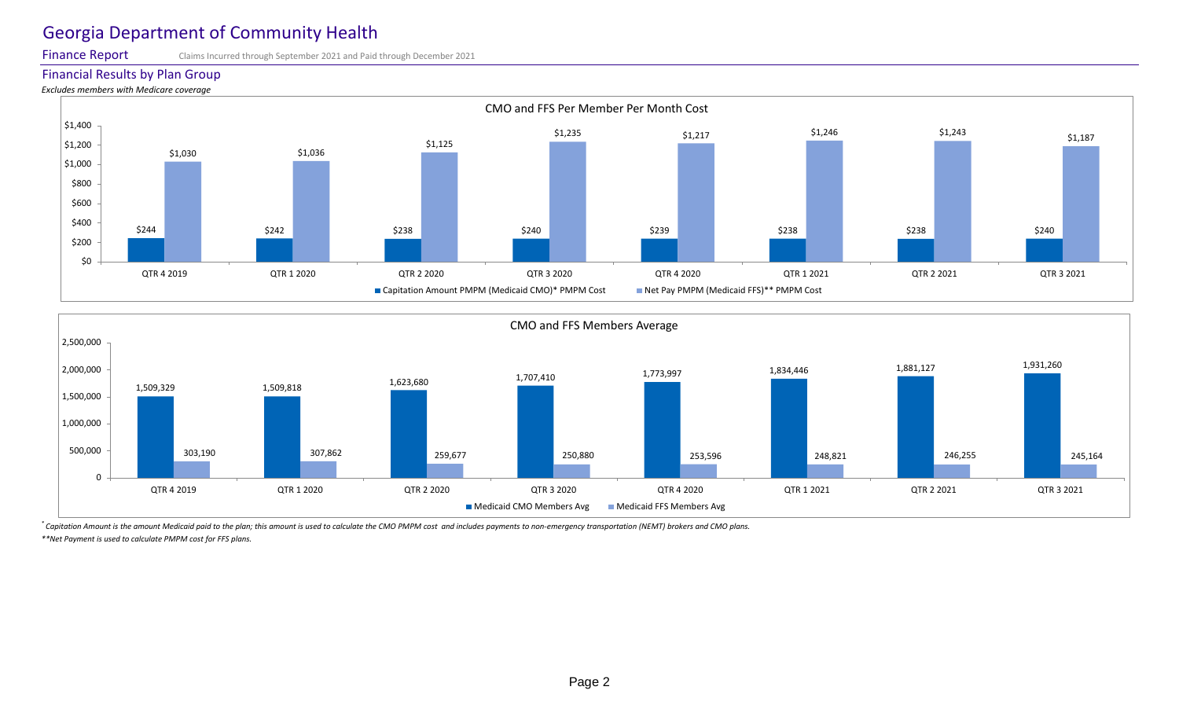Finance Report

#### Financial Results by Plan Group

*Excludes members with Medicare coverage*

*\* Capitation Amount is the amount Medicaid paid to the plan; this amount is used to calculate the CMO PMPM cost and includes payments to non-emergency transportation (NEMT) brokers and CMO plans. \*\*Net Payment is used to calculate PMPM cost for FFS plans.*



Claims Incurred through September 2021 and Paid through December 2021



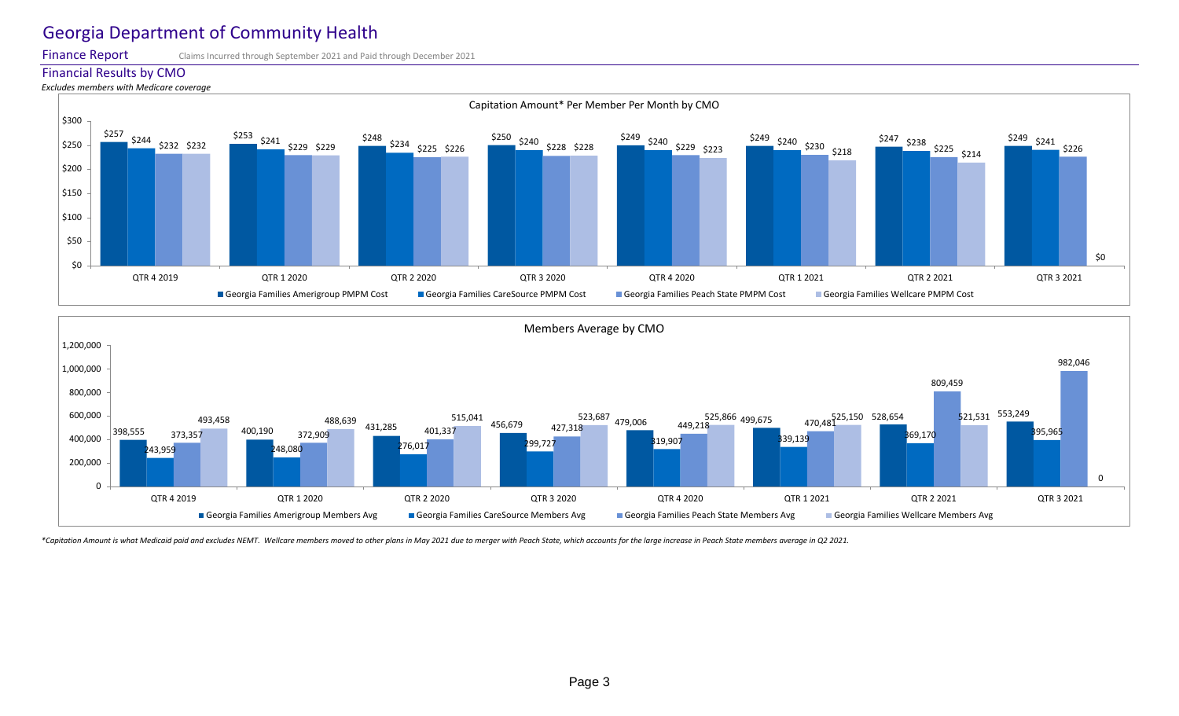Finance Report

#### Financial Results by CMO

*Excludes members with Medicare coverage*

Claims Incurred through September 2021 and Paid through December 2021





\*Capitation Amount is what Medicaid paid and excludes NEMT. Wellcare members moved to other plans in May 2021 due to merger with Peach State, which accounts for the large increase in Peach State members average in Q2 2021.

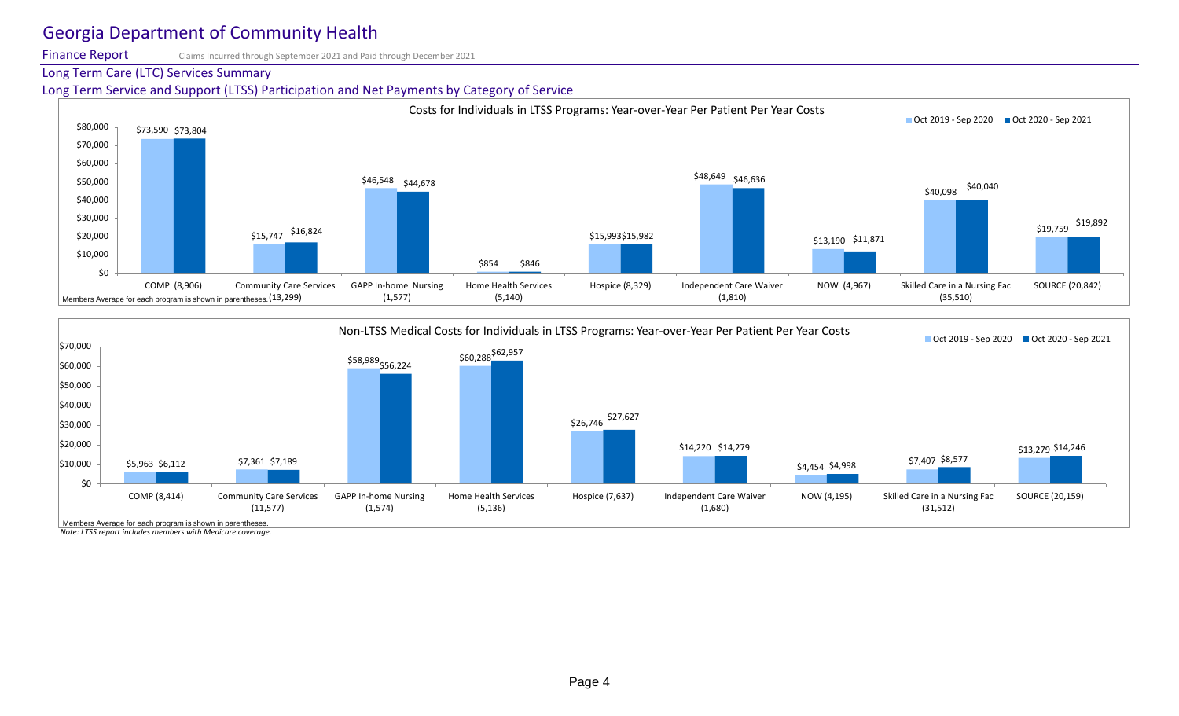Finance Report

Long Term Care (LTC) Services Summary

Claims Incurred through September 2021 and Paid through December 2021



*Note: LTSS report includes members with Medicare coverage.* Members Average for each program is shown in parentheses.

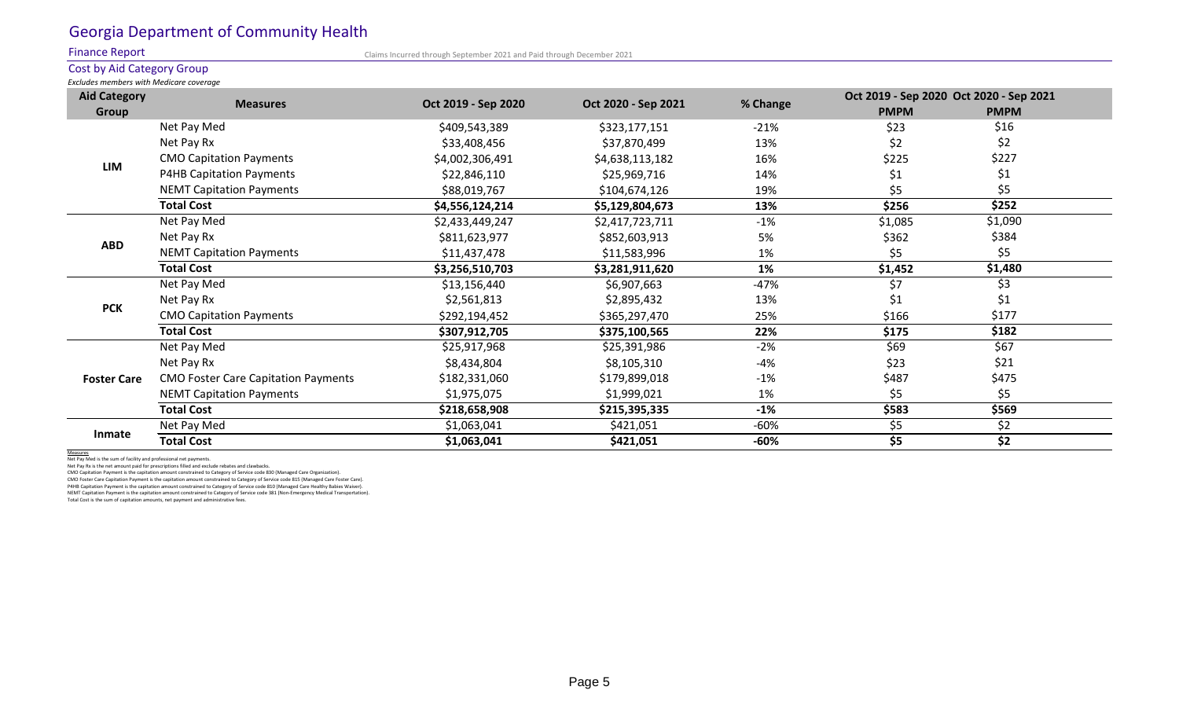Finance Report

Cost by Aid Category Group *Excludes members with Medicare coverage*

| <b>Aid Category</b> | <b>Measures</b>                            | Oct 2019 - Sep 2020 | Oct 2020 - Sep 2021 | % Change  | Oct 2019 - Sep 2020 Oct 2020 - Sep 2021 |               |
|---------------------|--------------------------------------------|---------------------|---------------------|-----------|-----------------------------------------|---------------|
| Group               |                                            |                     |                     |           | <b>PMPM</b>                             | <b>PMPM</b>   |
| <b>LIM</b>          | Net Pay Med                                | \$409,543,389       | \$323,177,151       | $-21%$    | \$23                                    | \$16          |
|                     | Net Pay Rx                                 | \$33,408,456        | \$37,870,499        | 13%       | \$2                                     | \$2           |
|                     | <b>CMO Capitation Payments</b>             | \$4,002,306,491     | \$4,638,113,182     | 16%       | \$225                                   | \$227         |
|                     | <b>P4HB Capitation Payments</b>            | \$22,846,110        | \$25,969,716        | 14%       | \$1                                     |               |
|                     | <b>NEMT Capitation Payments</b>            | \$88,019,767        | \$104,674,126       | 19%       | \$5                                     | Ş5            |
|                     | <b>Total Cost</b>                          | \$4,556,124,214     | \$5,129,804,673     | 13%       | \$256                                   | \$252         |
| <b>ABD</b>          | Net Pay Med                                | \$2,433,449,247     | \$2,417,723,711     | $-1\%$    | \$1,085                                 | \$1,090       |
|                     | Net Pay Rx                                 | \$811,623,977       | \$852,603,913       | 5%        | \$362                                   | \$384         |
|                     | <b>NEMT Capitation Payments</b>            | \$11,437,478        | \$11,583,996        | $1\%$     | \$5                                     | \$5           |
|                     | <b>Total Cost</b>                          | \$3,256,510,703     | \$3,281,911,620     | <b>1%</b> | \$1,452                                 | \$1,480       |
| <b>PCK</b>          | Net Pay Med                                | \$13,156,440        | \$6,907,663         | $-47%$    | \$7                                     | \$3           |
|                     | Net Pay Rx                                 | \$2,561,813         | \$2,895,432         | 13%       | \$1                                     | $\varsigma_1$ |
|                     | <b>CMO Capitation Payments</b>             | \$292,194,452       | \$365,297,470       | 25%       | \$166                                   | \$177         |
|                     | <b>Total Cost</b>                          | \$307,912,705       | \$375,100,565       | 22%       | \$175                                   | \$182         |
| <b>Foster Care</b>  | Net Pay Med                                | \$25,917,968        | \$25,391,986        | $-2\%$    | \$69                                    | \$67          |
|                     | Net Pay Rx                                 | \$8,434,804         | \$8,105,310         | $-4%$     | \$23                                    | \$21          |
|                     | <b>CMO Foster Care Capitation Payments</b> | \$182,331,060       | \$179,899,018       | $-1\%$    | \$487                                   | \$475         |
|                     | <b>NEMT Capitation Payments</b>            | \$1,975,075         | \$1,999,021         | 1%        | \$5                                     | \$5           |
|                     | <b>Total Cost</b>                          | \$218,658,908       | \$215,395,335       | $-1%$     | \$583                                   | \$569         |
| <b>Inmate</b>       | Net Pay Med                                | \$1,063,041         | \$421,051           | $-60\%$   | \$5                                     | $\zeta$       |
|                     | <b>Total Cost</b>                          | \$1,063,041         | \$421,051           | $-60%$    | \$5                                     | \$2           |

Measures

Net Pay Med is the sum of facility and professional net payments.

Net Pay Rx is the net amount paid for prescriptions filled and exclude rebates and clawbacks.

CMO Capitation Payment is the capitation amount constrained to Category of Service code 830 (Managed Care Organization).

CMO Foster Care Capitation Payment is the capitation amount constrained to Category of Service code 815 (Managed Care Foster Care).

P4HB Capitation Payment is the capitation amount constrained to Category of Service code 810 (Managed Care Healthy Babies Waiver). NEMT Capitation Payment is the capitation amount constrained to Category of Service code 381 (Non-Emergency Medical Transportation). Total Cost is the sum of capitation amounts, net payment and administrative fees.